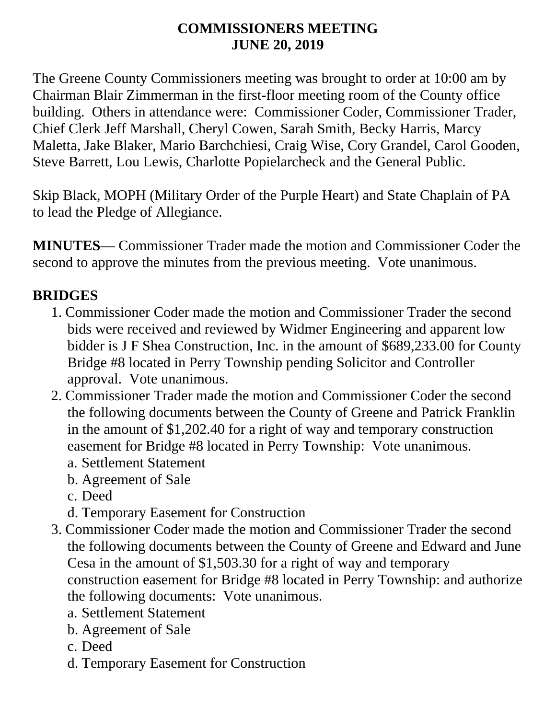#### **COMMISSIONERS MEETING JUNE 20, 2019**

The Greene County Commissioners meeting was brought to order at 10:00 am by Chairman Blair Zimmerman in the first-floor meeting room of the County office building. Others in attendance were: Commissioner Coder, Commissioner Trader, Chief Clerk Jeff Marshall, Cheryl Cowen, Sarah Smith, Becky Harris, Marcy Maletta, Jake Blaker, Mario Barchchiesi, Craig Wise, Cory Grandel, Carol Gooden, Steve Barrett, Lou Lewis, Charlotte Popielarcheck and the General Public.

Skip Black, MOPH (Military Order of the Purple Heart) and State Chaplain of PA to lead the Pledge of Allegiance.

**MINUTES**— Commissioner Trader made the motion and Commissioner Coder the second to approve the minutes from the previous meeting. Vote unanimous.

## **BRIDGES**

- 1. Commissioner Coder made the motion and Commissioner Trader the second bids were received and reviewed by Widmer Engineering and apparent low bidder is J F Shea Construction, Inc. in the amount of \$689,233.00 for County Bridge #8 located in Perry Township pending Solicitor and Controller approval. Vote unanimous.
- 2. Commissioner Trader made the motion and Commissioner Coder the second the following documents between the County of Greene and Patrick Franklin in the amount of \$1,202.40 for a right of way and temporary construction easement for Bridge #8 located in Perry Township: Vote unanimous.
	- a. Settlement Statement
	- b. Agreement of Sale
	- c. Deed
	- d. Temporary Easement for Construction
- 3. Commissioner Coder made the motion and Commissioner Trader the second the following documents between the County of Greene and Edward and June Cesa in the amount of \$1,503.30 for a right of way and temporary construction easement for Bridge #8 located in Perry Township: and authorize the following documents: Vote unanimous.
	- a. Settlement Statement
	- b. Agreement of Sale
	- c. Deed
	- d. Temporary Easement for Construction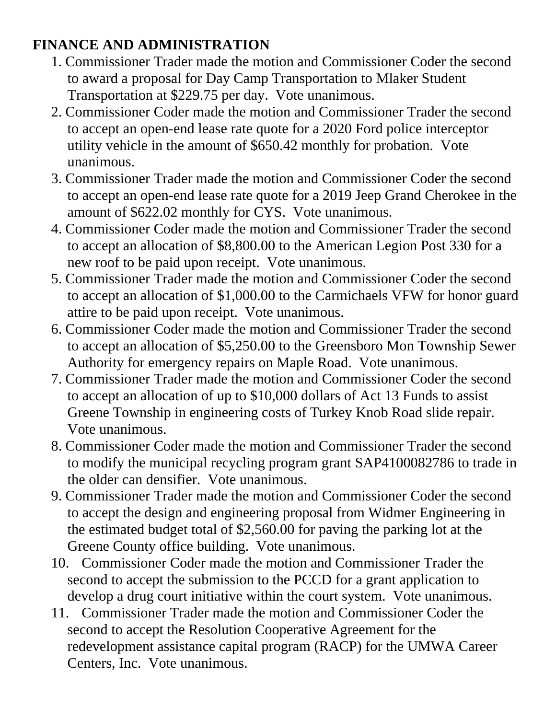### **FINANCE AND ADMINISTRATION**

- 1. Commissioner Trader made the motion and Commissioner Coder the second to award a proposal for Day Camp Transportation to Mlaker Student Transportation at \$229.75 per day. Vote unanimous.
- 2. Commissioner Coder made the motion and Commissioner Trader the second to accept an open-end lease rate quote for a 2020 Ford police interceptor utility vehicle in the amount of \$650.42 monthly for probation. Vote unanimous.
- 3. Commissioner Trader made the motion and Commissioner Coder the second to accept an open-end lease rate quote for a 2019 Jeep Grand Cherokee in the amount of \$622.02 monthly for CYS. Vote unanimous.
- 4. Commissioner Coder made the motion and Commissioner Trader the second to accept an allocation of \$8,800.00 to the American Legion Post 330 for a new roof to be paid upon receipt. Vote unanimous.
- 5. Commissioner Trader made the motion and Commissioner Coder the second to accept an allocation of \$1,000.00 to the Carmichaels VFW for honor guard attire to be paid upon receipt. Vote unanimous.
- 6. Commissioner Coder made the motion and Commissioner Trader the second to accept an allocation of \$5,250.00 to the Greensboro Mon Township Sewer Authority for emergency repairs on Maple Road. Vote unanimous.
- 7. Commissioner Trader made the motion and Commissioner Coder the second to accept an allocation of up to \$10,000 dollars of Act 13 Funds to assist Greene Township in engineering costs of Turkey Knob Road slide repair. Vote unanimous.
- 8. Commissioner Coder made the motion and Commissioner Trader the second to modify the municipal recycling program grant SAP4100082786 to trade in the older can densifier. Vote unanimous.
- 9. Commissioner Trader made the motion and Commissioner Coder the second to accept the design and engineering proposal from Widmer Engineering in the estimated budget total of \$2,560.00 for paving the parking lot at the Greene County office building. Vote unanimous.
- 10. Commissioner Coder made the motion and Commissioner Trader the second to accept the submission to the PCCD for a grant application to develop a drug court initiative within the court system. Vote unanimous.
- 11. Commissioner Trader made the motion and Commissioner Coder the second to accept the Resolution Cooperative Agreement for the redevelopment assistance capital program (RACP) for the UMWA Career Centers, Inc. Vote unanimous.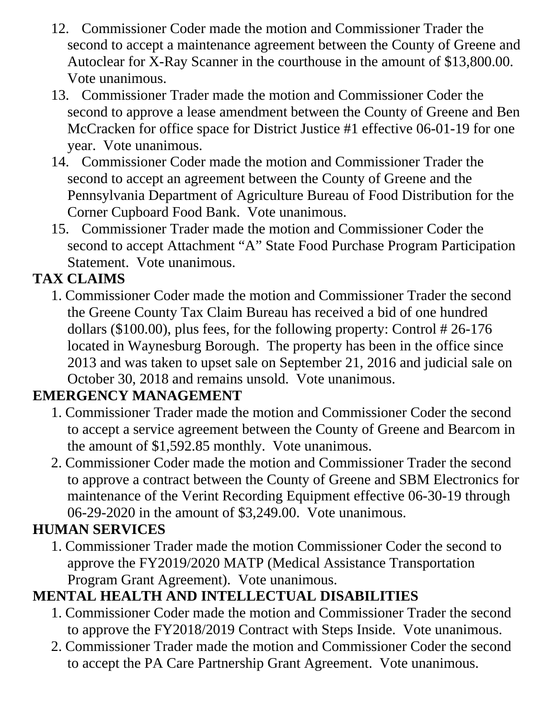- 12. Commissioner Coder made the motion and Commissioner Trader the second to accept a maintenance agreement between the County of Greene and Autoclear for X-Ray Scanner in the courthouse in the amount of \$13,800.00. Vote unanimous.
- 13. Commissioner Trader made the motion and Commissioner Coder the second to approve a lease amendment between the County of Greene and Ben McCracken for office space for District Justice #1 effective 06-01-19 for one year. Vote unanimous.
- 14. Commissioner Coder made the motion and Commissioner Trader the second to accept an agreement between the County of Greene and the Pennsylvania Department of Agriculture Bureau of Food Distribution for the Corner Cupboard Food Bank. Vote unanimous.
- 15. Commissioner Trader made the motion and Commissioner Coder the second to accept Attachment "A" State Food Purchase Program Participation Statement. Vote unanimous.

### **TAX CLAIMS**

1. Commissioner Coder made the motion and Commissioner Trader the second the Greene County Tax Claim Bureau has received a bid of one hundred dollars (\$100.00), plus fees, for the following property: Control # 26-176 located in Waynesburg Borough. The property has been in the office since 2013 and was taken to upset sale on September 21, 2016 and judicial sale on October 30, 2018 and remains unsold. Vote unanimous.

### **EMERGENCY MANAGEMENT**

- 1. Commissioner Trader made the motion and Commissioner Coder the second to accept a service agreement between the County of Greene and Bearcom in the amount of \$1,592.85 monthly. Vote unanimous.
- 2. Commissioner Coder made the motion and Commissioner Trader the second to approve a contract between the County of Greene and SBM Electronics for maintenance of the Verint Recording Equipment effective 06-30-19 through 06-29-2020 in the amount of \$3,249.00. Vote unanimous.

## **HUMAN SERVICES**

1. Commissioner Trader made the motion Commissioner Coder the second to approve the FY2019/2020 MATP (Medical Assistance Transportation Program Grant Agreement). Vote unanimous.

## **MENTAL HEALTH AND INTELLECTUAL DISABILITIES**

- 1. Commissioner Coder made the motion and Commissioner Trader the second to approve the FY2018/2019 Contract with Steps Inside. Vote unanimous.
- 2. Commissioner Trader made the motion and Commissioner Coder the second to accept the PA Care Partnership Grant Agreement. Vote unanimous.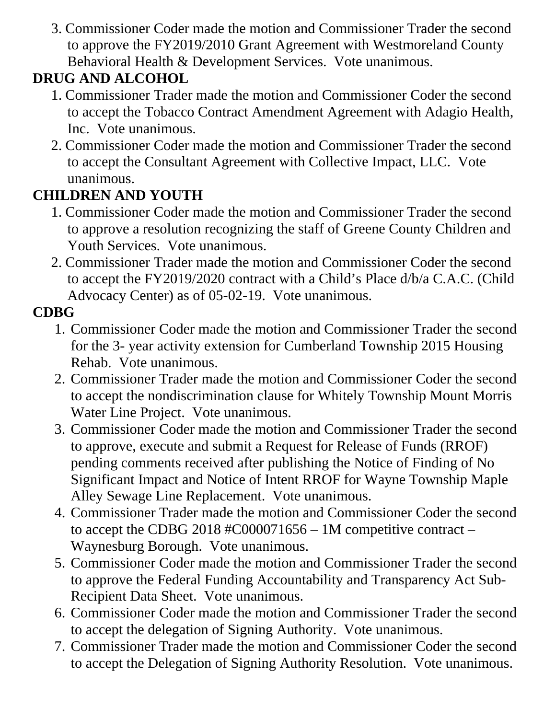3. Commissioner Coder made the motion and Commissioner Trader the second to approve the FY2019/2010 Grant Agreement with Westmoreland County Behavioral Health & Development Services. Vote unanimous.

# **DRUG AND ALCOHOL**

- 1. Commissioner Trader made the motion and Commissioner Coder the second to accept the Tobacco Contract Amendment Agreement with Adagio Health, Inc. Vote unanimous.
- 2. Commissioner Coder made the motion and Commissioner Trader the second to accept the Consultant Agreement with Collective Impact, LLC. Vote unanimous.

### **CHILDREN AND YOUTH**

- 1. Commissioner Coder made the motion and Commissioner Trader the second to approve a resolution recognizing the staff of Greene County Children and Youth Services. Vote unanimous.
- 2. Commissioner Trader made the motion and Commissioner Coder the second to accept the FY2019/2020 contract with a Child's Place d/b/a C.A.C. (Child Advocacy Center) as of 05-02-19. Vote unanimous.

## **CDBG**

- 1. Commissioner Coder made the motion and Commissioner Trader the second for the 3- year activity extension for Cumberland Township 2015 Housing Rehab. Vote unanimous.
- 2. Commissioner Trader made the motion and Commissioner Coder the second to accept the nondiscrimination clause for Whitely Township Mount Morris Water Line Project. Vote unanimous.
- 3. Commissioner Coder made the motion and Commissioner Trader the second to approve, execute and submit a Request for Release of Funds (RROF) pending comments received after publishing the Notice of Finding of No Significant Impact and Notice of Intent RROF for Wayne Township Maple Alley Sewage Line Replacement. Vote unanimous.
- 4. Commissioner Trader made the motion and Commissioner Coder the second to accept the CDBG 2018 #C000071656 – 1M competitive contract – Waynesburg Borough. Vote unanimous.
- 5. Commissioner Coder made the motion and Commissioner Trader the second to approve the Federal Funding Accountability and Transparency Act Sub-Recipient Data Sheet. Vote unanimous.
- 6. Commissioner Coder made the motion and Commissioner Trader the second to accept the delegation of Signing Authority. Vote unanimous.
- 7. Commissioner Trader made the motion and Commissioner Coder the second to accept the Delegation of Signing Authority Resolution. Vote unanimous.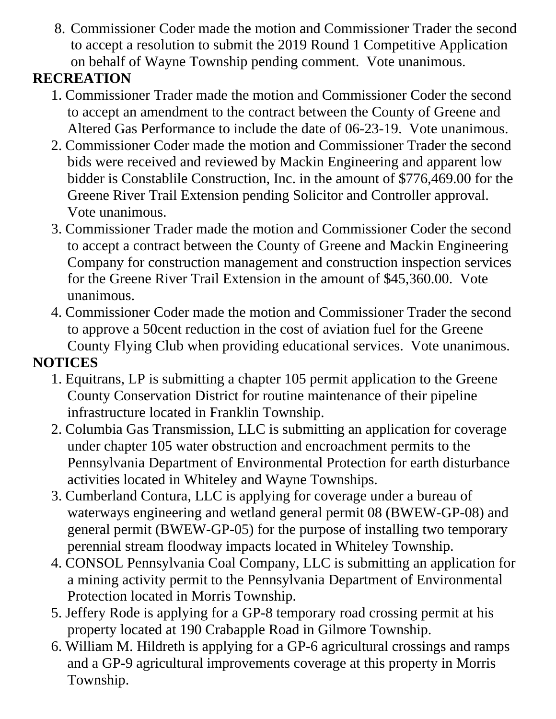8. Commissioner Coder made the motion and Commissioner Trader the second to accept a resolution to submit the 2019 Round 1 Competitive Application on behalf of Wayne Township pending comment. Vote unanimous.

## **RECREATION**

- 1. Commissioner Trader made the motion and Commissioner Coder the second to accept an amendment to the contract between the County of Greene and Altered Gas Performance to include the date of 06-23-19. Vote unanimous.
- 2. Commissioner Coder made the motion and Commissioner Trader the second bids were received and reviewed by Mackin Engineering and apparent low bidder is Constablile Construction, Inc. in the amount of \$776,469.00 for the Greene River Trail Extension pending Solicitor and Controller approval. Vote unanimous.
- 3. Commissioner Trader made the motion and Commissioner Coder the second to accept a contract between the County of Greene and Mackin Engineering Company for construction management and construction inspection services for the Greene River Trail Extension in the amount of \$45,360.00. Vote unanimous.
- 4. Commissioner Coder made the motion and Commissioner Trader the second to approve a 50cent reduction in the cost of aviation fuel for the Greene County Flying Club when providing educational services. Vote unanimous.

# **NOTICES**

- 1. Equitrans, LP is submitting a chapter 105 permit application to the Greene County Conservation District for routine maintenance of their pipeline infrastructure located in Franklin Township.
- 2. Columbia Gas Transmission, LLC is submitting an application for coverage under chapter 105 water obstruction and encroachment permits to the Pennsylvania Department of Environmental Protection for earth disturbance activities located in Whiteley and Wayne Townships.
- 3. Cumberland Contura, LLC is applying for coverage under a bureau of waterways engineering and wetland general permit 08 (BWEW-GP-08) and general permit (BWEW-GP-05) for the purpose of installing two temporary perennial stream floodway impacts located in Whiteley Township.
- 4. CONSOL Pennsylvania Coal Company, LLC is submitting an application for a mining activity permit to the Pennsylvania Department of Environmental Protection located in Morris Township.
- 5. Jeffery Rode is applying for a GP-8 temporary road crossing permit at his property located at 190 Crabapple Road in Gilmore Township.
- 6. William M. Hildreth is applying for a GP-6 agricultural crossings and ramps and a GP-9 agricultural improvements coverage at this property in Morris Township.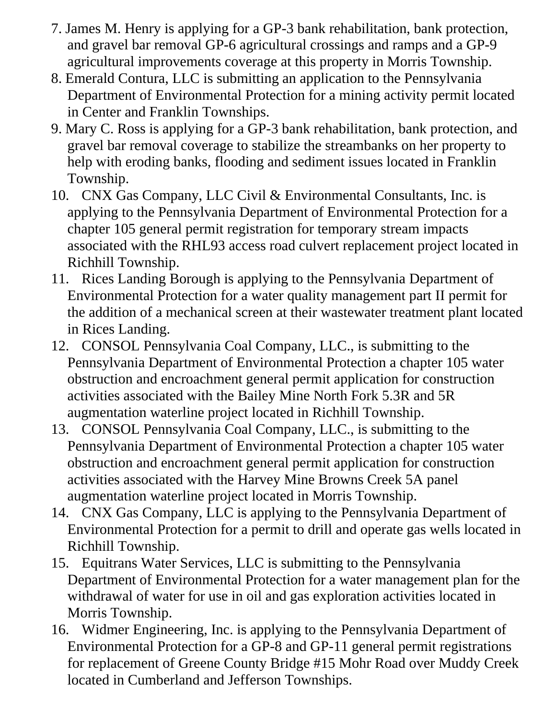- 7. James M. Henry is applying for a GP-3 bank rehabilitation, bank protection, and gravel bar removal GP-6 agricultural crossings and ramps and a GP-9 agricultural improvements coverage at this property in Morris Township.
- 8. Emerald Contura, LLC is submitting an application to the Pennsylvania Department of Environmental Protection for a mining activity permit located in Center and Franklin Townships.
- 9. Mary C. Ross is applying for a GP-3 bank rehabilitation, bank protection, and gravel bar removal coverage to stabilize the streambanks on her property to help with eroding banks, flooding and sediment issues located in Franklin Township.
- 10. CNX Gas Company, LLC Civil & Environmental Consultants, Inc. is applying to the Pennsylvania Department of Environmental Protection for a chapter 105 general permit registration for temporary stream impacts associated with the RHL93 access road culvert replacement project located in Richhill Township.
- 11. Rices Landing Borough is applying to the Pennsylvania Department of Environmental Protection for a water quality management part II permit for the addition of a mechanical screen at their wastewater treatment plant located in Rices Landing.
- 12. CONSOL Pennsylvania Coal Company, LLC., is submitting to the Pennsylvania Department of Environmental Protection a chapter 105 water obstruction and encroachment general permit application for construction activities associated with the Bailey Mine North Fork 5.3R and 5R augmentation waterline project located in Richhill Township.
- 13. CONSOL Pennsylvania Coal Company, LLC., is submitting to the Pennsylvania Department of Environmental Protection a chapter 105 water obstruction and encroachment general permit application for construction activities associated with the Harvey Mine Browns Creek 5A panel augmentation waterline project located in Morris Township.
- 14. CNX Gas Company, LLC is applying to the Pennsylvania Department of Environmental Protection for a permit to drill and operate gas wells located in Richhill Township.
- 15. Equitrans Water Services, LLC is submitting to the Pennsylvania Department of Environmental Protection for a water management plan for the withdrawal of water for use in oil and gas exploration activities located in Morris Township.
- 16. Widmer Engineering, Inc. is applying to the Pennsylvania Department of Environmental Protection for a GP-8 and GP-11 general permit registrations for replacement of Greene County Bridge #15 Mohr Road over Muddy Creek located in Cumberland and Jefferson Townships.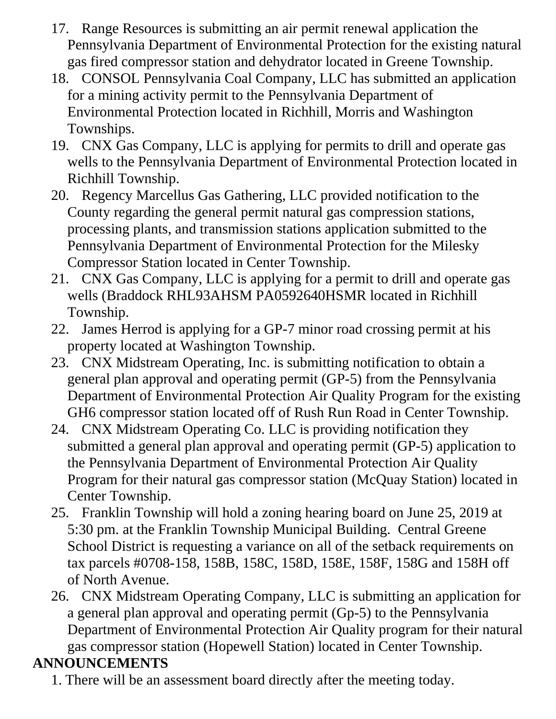- 17. Range Resources is submitting an air permit renewal application the Pennsylvania Department of Environmental Protection for the existing natural gas fired compressor station and dehydrator located in Greene Township.
- 18. CONSOL Pennsylvania Coal Company, LLC has submitted an application for a mining activity permit to the Pennsylvania Department of Environmental Protection located in Richhill, Morris and Washington Townships.
- 19. CNX Gas Company, LLC is applying for permits to drill and operate gas wells to the Pennsylvania Department of Environmental Protection located in Richhill Township.
- 20. Regency Marcellus Gas Gathering, LLC provided notification to the County regarding the general permit natural gas compression stations, processing plants, and transmission stations application submitted to the Pennsylvania Department of Environmental Protection for the Milesky Compressor Station located in Center Township.
- 21. CNX Gas Company, LLC is applying for a permit to drill and operate gas wells (Braddock RHL93AHSM PA0592640HSMR located in Richhill Township.
- 22. James Herrod is applying for a GP-7 minor road crossing permit at his property located at Washington Township.
- 23. CNX Midstream Operating, Inc. is submitting notification to obtain a general plan approval and operating permit (GP-5) from the Pennsylvania Department of Environmental Protection Air Quality Program for the existing GH6 compressor station located off of Rush Run Road in Center Township.
- 24. CNX Midstream Operating Co. LLC is providing notification they submitted a general plan approval and operating permit (GP-5) application to the Pennsylvania Department of Environmental Protection Air Quality Program for their natural gas compressor station (McQuay Station) located in Center Township.
- 25. Franklin Township will hold a zoning hearing board on June 25, 2019 at 5:30 pm. at the Franklin Township Municipal Building. Central Greene School District is requesting a variance on all of the setback requirements on tax parcels #0708-158, 158B, 158C, 158D, 158E, 158F, 158G and 158H off of North Avenue.
- 26. CNX Midstream Operating Company, LLC is submitting an application for a general plan approval and operating permit (Gp-5) to the Pennsylvania Department of Environmental Protection Air Quality program for their natural gas compressor station (Hopewell Station) located in Center Township.

## **ANNOUNCEMENTS**

1. There will be an assessment board directly after the meeting today.